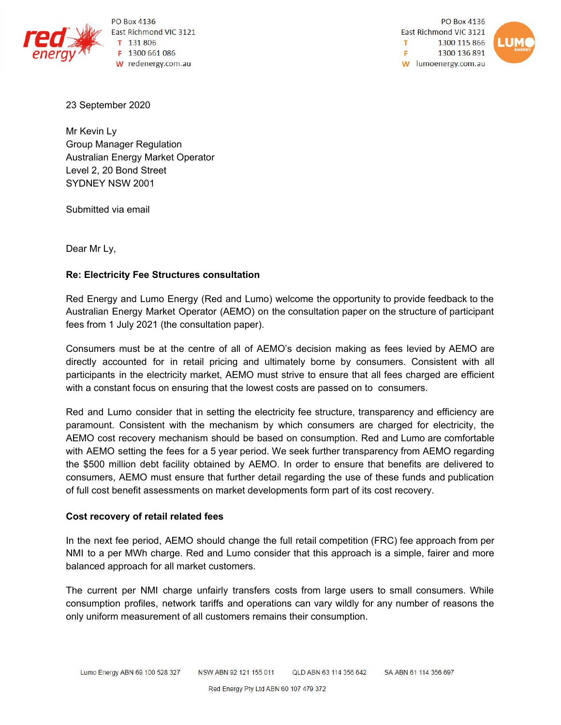

PO Box 4136 East Richmond VIC 3121  $131806$ F 1300 661 086 W redenergy.com.au

**PO Box 4136** East Richmond VIC 3121 1300 115 866 T F 1300 136 891 W lumoenergy.com.au



23 September 2020

Mr Kevin Ly Group Manager Regulation Australian Energy Market Operator Level 2, 20 Bond Street SYDNEY NSW 2001

Submitted via email

Dear Mr Ly,

# **Re: Electricity Fee Structures consultation**

Red Energy and Lumo Energy (Red and Lumo) welcome the opportunity to provide feedback to the Australian Energy Market Operator (AEMO) on the consultation paper on the structure of participant fees from 1 July 2021 (the consultation paper).

Consumers must be at the centre of all of AEMO's decision making as fees levied by AEMO are directly accounted for in retail pricing and ultimately borne by consumers. Consistent with all participants in the electricity market, AEMO must strive to ensure that all fees charged are efficient with a constant focus on ensuring that the lowest costs are passed on to consumers.

Red and Lumo consider that in setting the electricity fee structure, transparency and efficiency are paramount. Consistent with the mechanism by which consumers are charged for electricity, the AEMO cost recovery mechanism should be based on consumption. Red and Lumo are comfortable with AEMO setting the fees for a 5 year period. We seek further transparency from AEMO regarding the \$500 million debt facility obtained by AEMO. In order to ensure that benefits are delivered to consumers, AEMO must ensure that further detail regarding the use of these funds and publication of full cost benefit assessments on market developments form part of its cost recovery.

### **Cost recovery of retail related fees**

In the next fee period, AEMO should change the full retail competition (FRC) fee approach from per NMI to a per MWh charge. Red and Lumo consider that this approach is a simple, fairer and more balanced approach for all market customers.

The current per NMI charge unfairly transfers costs from large users to small consumers. While consumption profiles, network tariffs and operations can vary wildly for any number of reasons the only uniform measurement of all customers remains their consumption.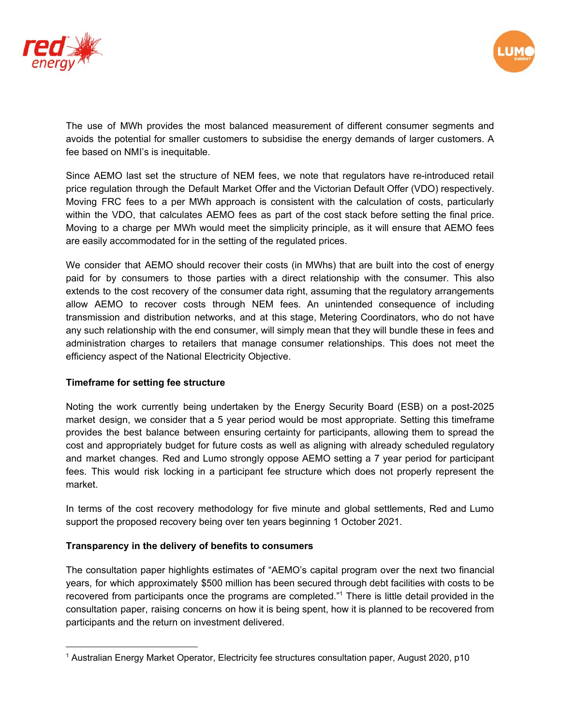



The use of MWh provides the most balanced measurement of different consumer segments and avoids the potential for smaller customers to subsidise the energy demands of larger customers. A fee based on NMI's is inequitable.

Since AEMO last set the structure of NEM fees, we note that regulators have re-introduced retail price regulation through the Default Market Offer and the Victorian Default Offer (VDO) respectively. Moving FRC fees to a per MWh approach is consistent with the calculation of costs, particularly within the VDO, that calculates AEMO fees as part of the cost stack before setting the final price. Moving to a charge per MWh would meet the simplicity principle, as it will ensure that AEMO fees are easily accommodated for in the setting of the regulated prices.

We consider that AEMO should recover their costs (in MWhs) that are built into the cost of energy paid for by consumers to those parties with a direct relationship with the consumer. This also extends to the cost recovery of the consumer data right, assuming that the regulatory arrangements allow AEMO to recover costs through NEM fees. An unintended consequence of including transmission and distribution networks, and at this stage, Metering Coordinators, who do not have any such relationship with the end consumer, will simply mean that they will bundle these in fees and administration charges to retailers that manage consumer relationships. This does not meet the efficiency aspect of the National Electricity Objective.

# **Timeframe for setting fee structure**

Noting the work currently being undertaken by the Energy Security Board (ESB) on a post-2025 market design, we consider that a 5 year period would be most appropriate. Setting this timeframe provides the best balance between ensuring certainty for participants, allowing them to spread the cost and appropriately budget for future costs as well as aligning with already scheduled regulatory and market changes. Red and Lumo strongly oppose AEMO setting a 7 year period for participant fees. This would risk locking in a participant fee structure which does not properly represent the market.

In terms of the cost recovery methodology for five minute and global settlements, Red and Lumo support the proposed recovery being over ten years beginning 1 October 2021.

# **Transparency in the delivery of benefits to consumers**

The consultation paper highlights estimates of "AEMO's capital program over the next two financial years, for which approximately \$500 million has been secured through debt facilities with costs to be recovered from participants once the programs are completed."<sup>1</sup> There is little detail provided in the consultation paper, raising concerns on how it is being spent, how it is planned to be recovered from participants and the return on investment delivered.

<sup>1</sup> Australian Energy Market Operator, Electricity fee structures consultation paper, August 2020, p10